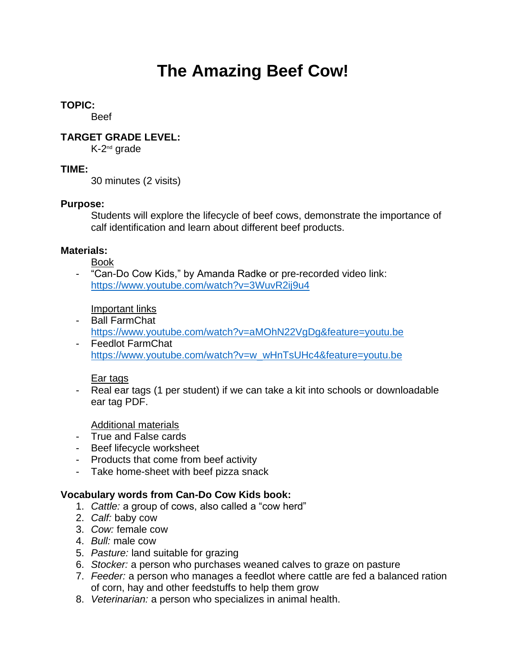# **The Amazing Beef Cow!**

# **TOPIC:**

Beef

# **TARGET GRADE LEVEL:**

K-2<sup>nd</sup> grade

# **TIME:**

30 minutes (2 visits)

# **Purpose:**

Students will explore the lifecycle of beef cows, demonstrate the importance of calf identification and learn about different beef products.

# **Materials:**

Book

"Can-Do Cow Kids," by Amanda Radke or pre-recorded video link: <https://www.youtube.com/watch?v=3WuvR2ij9u4>

Important links

- Ball FarmChat
- <https://www.youtube.com/watch?v=aMOhN22VgDg&feature=youtu.be> - Feedlot FarmChat
- [https://www.youtube.com/watch?v=w\\_wHnTsUHc4&feature=youtu.be](https://www.youtube.com/watch?v=w_wHnTsUHc4&feature=youtu.be)

## Ear tags

- Real ear tags (1 per student) if we can take a kit into schools or downloadable ear tag PDF.

Additional materials

- True and False cards
- Beef lifecycle worksheet
- Products that come from beef activity
- Take home-sheet with beef pizza snack

# **Vocabulary words from Can-Do Cow Kids book:**

- 1. *Cattle:* a group of cows, also called a "cow herd"
- 2. *Calf:* baby cow
- 3. *Cow:* female cow
- 4. *Bull:* male cow
- 5. *Pasture:* land suitable for grazing
- 6. *Stocker:* a person who purchases weaned calves to graze on pasture
- 7. *Feeder:* a person who manages a feedlot where cattle are fed a balanced ration of corn, hay and other feedstuffs to help them grow
- 8. *Veterinarian:* a person who specializes in animal health.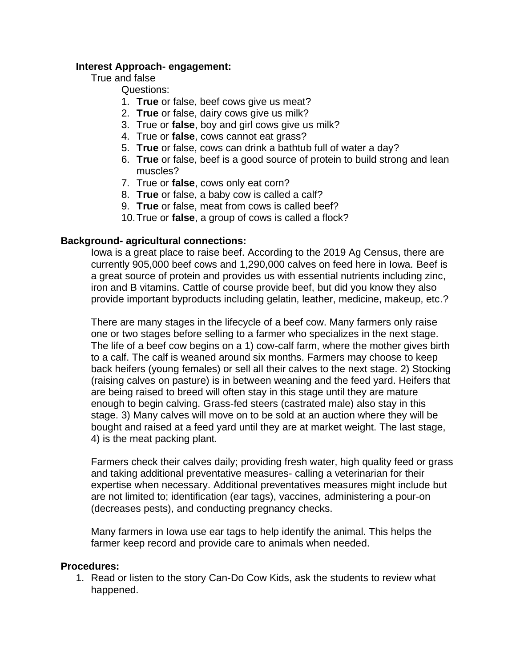### **Interest Approach- engagement:**

### True and false

### Questions:

- 1. **True** or false, beef cows give us meat?
- 2. **True** or false, dairy cows give us milk?
- 3. True or **false**, boy and girl cows give us milk?
- 4. True or **false**, cows cannot eat grass?
- 5. **True** or false, cows can drink a bathtub full of water a day?
- 6. **True** or false, beef is a good source of protein to build strong and lean muscles?
- 7. True or **false**, cows only eat corn?
- 8. **True** or false, a baby cow is called a calf?
- 9. **True** or false, meat from cows is called beef?
- 10.True or **false**, a group of cows is called a flock?

#### **Background- agricultural connections:**

Iowa is a great place to raise beef. According to the 2019 Ag Census, there are currently 905,000 beef cows and 1,290,000 calves on feed here in Iowa. Beef is a great source of protein and provides us with essential nutrients including zinc, iron and B vitamins. Cattle of course provide beef, but did you know they also provide important byproducts including gelatin, leather, medicine, makeup, etc.?

There are many stages in the lifecycle of a beef cow. Many farmers only raise one or two stages before selling to a farmer who specializes in the next stage. The life of a beef cow begins on a 1) cow-calf farm, where the mother gives birth to a calf. The calf is weaned around six months. Farmers may choose to keep back heifers (young females) or sell all their calves to the next stage. 2) Stocking (raising calves on pasture) is in between weaning and the feed yard. Heifers that are being raised to breed will often stay in this stage until they are mature enough to begin calving. Grass-fed steers (castrated male) also stay in this stage. 3) Many calves will move on to be sold at an auction where they will be bought and raised at a feed yard until they are at market weight. The last stage, 4) is the meat packing plant.

Farmers check their calves daily; providing fresh water, high quality feed or grass and taking additional preventative measures- calling a veterinarian for their expertise when necessary. Additional preventatives measures might include but are not limited to; identification (ear tags), vaccines, administering a pour-on (decreases pests), and conducting pregnancy checks.

Many farmers in Iowa use ear tags to help identify the animal. This helps the farmer keep record and provide care to animals when needed.

#### **Procedures:**

1. Read or listen to the story Can-Do Cow Kids, ask the students to review what happened.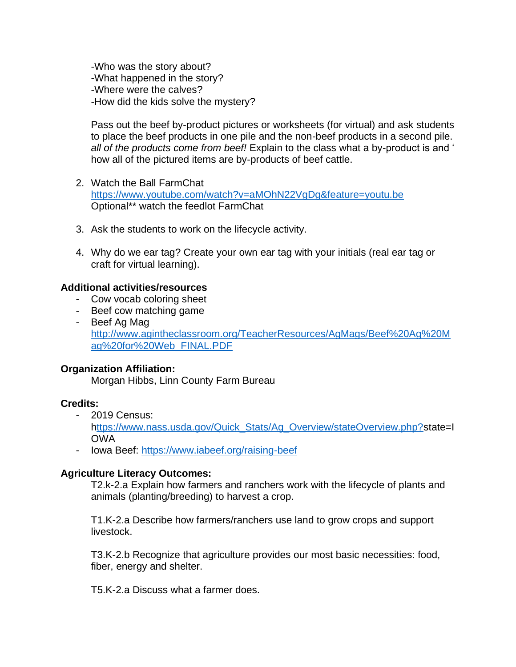-Who was the story about? -What happened in the story? -Where were the calves? -How did the kids solve the mystery?

Pass out the beef by-product pictures or worksheets (for virtual) and ask students to place the beef products in one pile and the non-beef products in a second pile. *all of the products come from beef!* Explain to the class what a by-product is and ' how all of the pictured items are by-products of beef cattle.

- 2. Watch the Ball FarmChat <https://www.youtube.com/watch?v=aMOhN22VgDg&feature=youtu.be> Optional\*\* watch the feedlot FarmChat
- 3. Ask the students to work on the lifecycle activity.
- 4. Why do we ear tag? Create your own ear tag with your initials (real ear tag or craft for virtual learning).

## **Additional activities/resources**

- Cow vocab coloring sheet
- Beef cow matching game
- Beef Ag Mag [http://www.agintheclassroom.org/TeacherResources/AgMags/Beef%20Ag%20M](http://www.agintheclassroom.org/TeacherResources/AgMags/Beef%20Ag%20Mag%20for%20Web_FINAL.PDF) [ag%20for%20Web\\_FINAL.PDF](http://www.agintheclassroom.org/TeacherResources/AgMags/Beef%20Ag%20Mag%20for%20Web_FINAL.PDF)

#### **Organization Affiliation:**

Morgan Hibbs, Linn County Farm Bureau

#### **Credits:**

- 2019 Census:

[https://www.nass.usda.gov/Quick\\_Stats/Ag\\_Overview/stateOverview.php?s](ttps://www.nass.usda.gov/Quick_Stats/Ag_Overview/stateOverview.php?)tate=I OWA

- Iowa Beef:<https://www.iabeef.org/raising-beef>

#### **Agriculture Literacy Outcomes:**

T2.k-2.a Explain how farmers and ranchers work with the lifecycle of plants and animals (planting/breeding) to harvest a crop.

T1.K-2.a Describe how farmers/ranchers use land to grow crops and support livestock.

T3.K-2.b Recognize that agriculture provides our most basic necessities: food, fiber, energy and shelter.

T5.K-2.a Discuss what a farmer does.